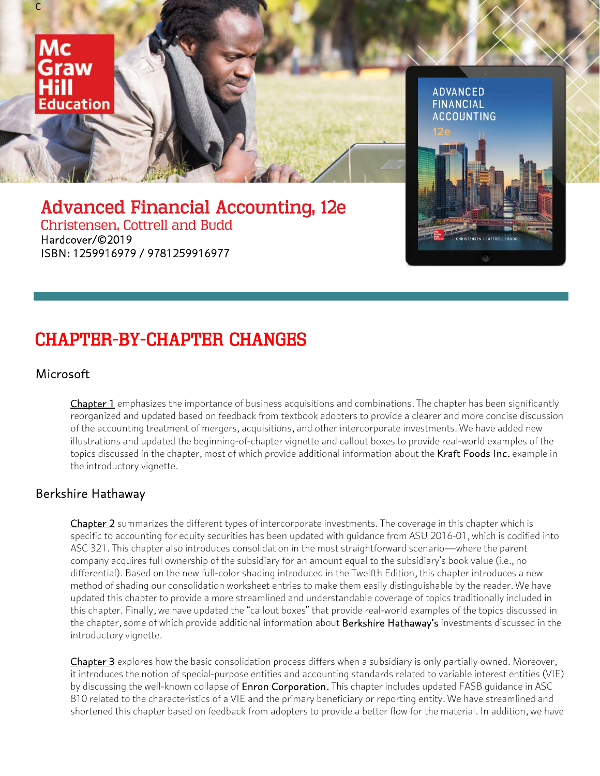

CHAPTER-BY-CHAPTER CHANGES

ISBN: 1259916979 / 9781259916977

#### **Microsoft**

Chapter 1 emphasizes the importance of business acquisitions and combinations. The chapter has been significantly reorganized and updated based on feedback from textbook adopters to provide a clearer and more concise discussion of the accounting treatment of mergers, acquisitions, and other intercorporate investments. We have added new illustrations and updated the beginning-of-chapter vignette and callout boxes to provide real-world examples of the topics discussed in the chapter, most of which provide additional information about the Kraft Foods Inc. example in the introductory vignette.

#### Berkshire Hathaway

Chapter 2 summarizes the different types of intercorporate investments. The coverage in this chapter which is specific to accounting for equity securities has been updated with guidance from ASU 2016-01, which is codified into ASC 321. This chapter also introduces consolidation in the most straightforward scenario—where the parent company acquires full ownership of the subsidiary for an amount equal to the subsidiary's book value (i.e., no differential). Based on the new full-color shading introduced in the Twelfth Edition, this chapter introduces a new method of shading our consolidation worksheet entries to make them easily distinguishable by the reader. We have updated this chapter to provide a more streamlined and understandable coverage of topics traditionally included in this chapter. Finally, we have updated the "callout boxes" that provide real-world examples of the topics discussed in the chapter, some of which provide additional information about Berkshire Hathaway's investments discussed in the introductory vignette.

Chapter 3 explores how the basic consolidation process differs when a subsidiary is only partially owned. Moreover, it introduces the notion of special-purpose entities and accounting standards related to variable interest entities (VIE) by discussing the well-known collapse of **Enron Corporation.** This chapter includes updated FASB quidance in ASC 810 related to the characteristics of a VIE and the primary beneficiary or reporting entity. We have streamlined and shortened this chapter based on feedback from adopters to provide a better flow for the material. In addition, we have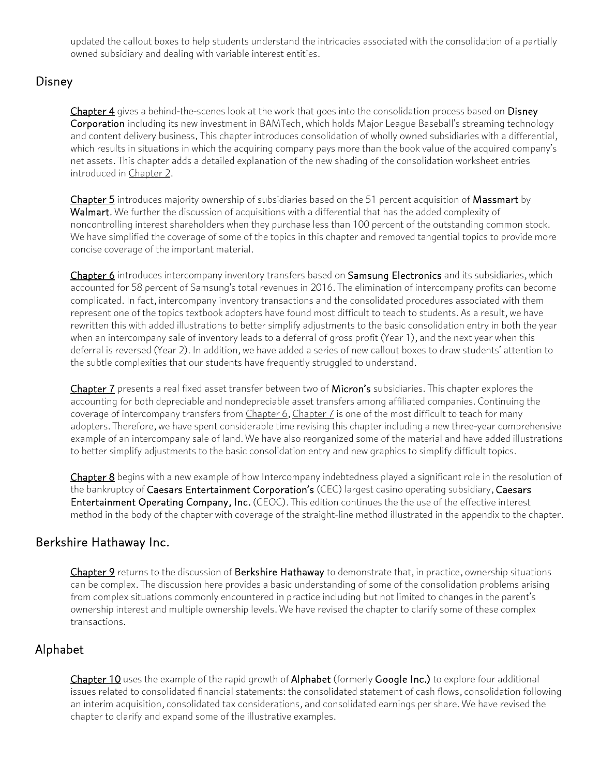updated the callout boxes to help students understand the intricacies associated with the consolidation of a partially owned subsidiary and dealing with variable interest entities.

## Disney

Chapter 4 gives a behind-the-scenes look at the work that goes into the consolidation process based on Disney Corporation including its new investment in BAMTech, which holds Major League Baseball's streaming technology and content delivery business. This chapter introduces consolidation of wholly owned subsidiaries with a differential, which results in situations in which the acquiring company pays more than the book value of the acquired company's net assets. This chapter adds a detailed explanation of the new shading of the consolidation worksheet entries introduced in Chapter 2.

Chapter 5 introduces majority ownership of subsidiaries based on the 51 percent acquisition of Massmart by Walmart. We further the discussion of acquisitions with a differential that has the added complexity of noncontrolling interest shareholders when they purchase less than 100 percent of the outstanding common stock. We have simplified the coverage of some of the topics in this chapter and removed tangential topics to provide more concise coverage of the important material.

Chapter 6 introduces intercompany inventory transfers based on Samsung Electronics and its subsidiaries, which accounted for 58 percent of Samsung's total revenues in 2016. The elimination of intercompany profits can become complicated. In fact, intercompany inventory transactions and the consolidated procedures associated with them represent one of the topics textbook adopters have found most difficult to teach to students. As a result, we have rewritten this with added illustrations to better simplify adjustments to the basic consolidation entry in both the year when an intercompany sale of inventory leads to a deferral of gross profit (Year 1), and the next year when this deferral is reversed (Year 2). In addition, we have added a series of new callout boxes to draw students' attention to the subtle complexities that our students have frequently struggled to understand.

Chapter 7 presents a real fixed asset transfer between two of Micron's subsidiaries. This chapter explores the accounting for both depreciable and nondepreciable asset transfers among affiliated companies. Continuing the coverage of intercompany transfers from *Chapter 6*, *Chapter 7* is one of the most difficult to teach for many adopters. Therefore, we have spent considerable time revising this chapter including a new three-year comprehensive example of an intercompany sale of land. We have also reorganized some of the material and have added illustrations to better simplify adjustments to the basic consolidation entry and new graphics to simplify difficult topics.

Chapter 8 begins with a new example of how Intercompany indebtedness played a significant role in the resolution of the bankruptcy of Caesars Entertainment Corporation's (CEC) largest casino operating subsidiary, Caesars Entertainment Operating Company, Inc. (CEOC). This edition continues the the use of the effective interest method in the body of the chapter with coverage of the straight-line method illustrated in the appendix to the chapter.

### Berkshire Hathaway Inc.

Chapter 9 returns to the discussion of Berkshire Hathaway to demonstrate that, in practice, ownership situations can be complex. The discussion here provides a basic understanding of some of the consolidation problems arising from complex situations commonly encountered in practice including but not limited to changes in the parent's ownership interest and multiple ownership levels. We have revised the chapter to clarify some of these complex transactions.

## Alphabet

Chapter 10 uses the example of the rapid growth of Alphabet (formerly Google Inc.) to explore four additional issues related to consolidated financial statements: the consolidated statement of cash flows, consolidation following an interim acquisition, consolidated tax considerations, and consolidated earnings per share. We have revised the chapter to clarify and expand some of the illustrative examples.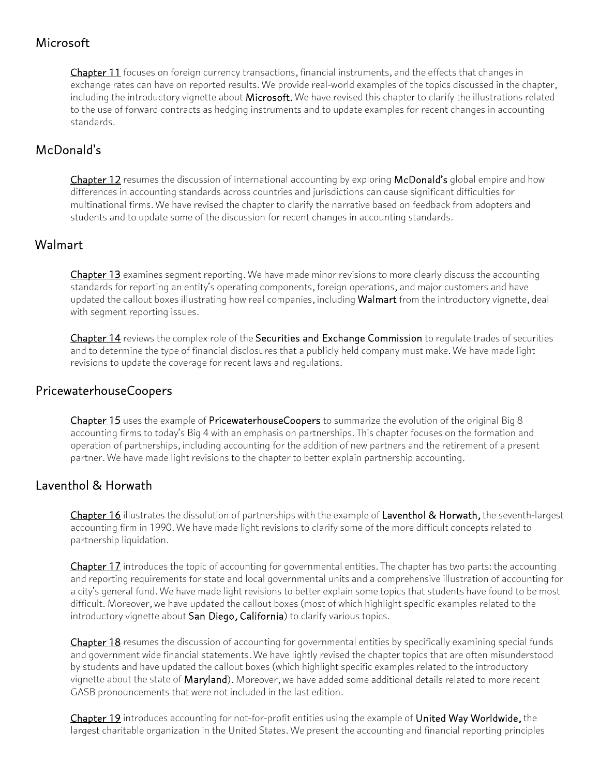# Microsoft

Chapter 11 focuses on foreign currency transactions, financial instruments, and the effects that changes in exchange rates can have on reported results. We provide real-world examples of the topics discussed in the chapter, including the introductory vignette about Microsoft. We have revised this chapter to clarify the illustrations related to the use of forward contracts as hedging instruments and to update examples for recent changes in accounting standards.

# McDonald's

Chapter 12 resumes the discussion of international accounting by exploring McDonald's global empire and how differences in accounting standards across countries and jurisdictions can cause significant difficulties for multinational firms. We have revised the chapter to clarify the narrative based on feedback from adopters and students and to update some of the discussion for recent changes in accounting standards.

# Walmart

Chapter 13 examines segment reporting. We have made minor revisions to more clearly discuss the accounting standards for reporting an entity's operating components, foreign operations, and major customers and have updated the callout boxes illustrating how real companies, including Walmart from the introductory vignette, deal with segment reporting issues.

Chapter 14 reviews the complex role of the Securities and Exchange Commission to regulate trades of securities and to determine the type of financial disclosures that a publicly held company must make. We have made light revisions to update the coverage for recent laws and regulations.

### PricewaterhouseCoopers

Chapter 15 uses the example of PricewaterhouseCoopers to summarize the evolution of the original Big 8 accounting firms to today's Big 4 with an emphasis on partnerships. This chapter focuses on the formation and operation of partnerships, including accounting for the addition of new partners and the retirement of a present partner. We have made light revisions to the chapter to better explain partnership accounting.

## Laventhol & Horwath

Chapter 16 illustrates the dissolution of partnerships with the example of Laventhol & Horwath, the seventh-largest accounting firm in 1990. We have made light revisions to clarify some of the more difficult concepts related to partnership liquidation.

Chapter 17 introduces the topic of accounting for governmental entities. The chapter has two parts: the accounting and reporting requirements for state and local governmental units and a comprehensive illustration of accounting for a city's general fund. We have made light revisions to better explain some topics that students have found to be most difficult. Moreover, we have updated the callout boxes (most of which highlight specific examples related to the introductory vignette about San Diego, California) to clarify various topics.

Chapter 18 resumes the discussion of accounting for governmental entities by specifically examining special funds and government wide financial statements. We have lightly revised the chapter topics that are often misunderstood by students and have updated the callout boxes (which highlight specific examples related to the introductory vignette about the state of Maryland). Moreover, we have added some additional details related to more recent GASB pronouncements that were not included in the last edition.

Chapter 19 introduces accounting for not-for-profit entities using the example of United Way Worldwide, the largest charitable organization in the United States. We present the accounting and financial reporting principles